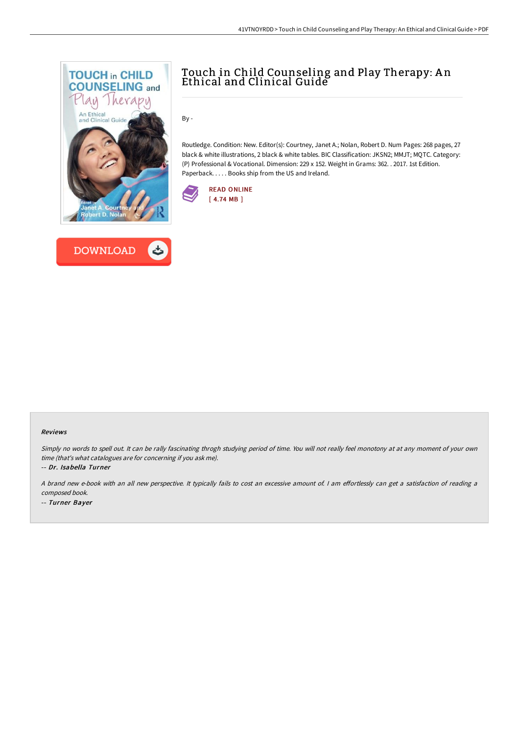



## Touch in Child Counseling and Play Therapy: A n Ethical and Clinical Guide

By -

Routledge. Condition: New. Editor(s): Courtney, Janet A.; Nolan, Robert D. Num Pages: 268 pages, 27 black & white illustrations, 2 black & white tables. BIC Classification: JKSN2; MMJT; MQTC. Category: (P) Professional & Vocational. Dimension: 229 x 152. Weight in Grams: 362. . 2017. 1st Edition. Paperback. . . . . Books ship from the US and Ireland.



## Reviews

Simply no words to spell out. It can be rally fascinating throgh studying period of time. You will not really feel monotony at at any moment of your own time (that's what catalogues are for concerning if you ask me).

-- Dr. Isabella Turner

<sup>A</sup> brand new e-book with an all new perspective. It typically fails to cost an excessive amount of. <sup>I</sup> am eFortlessly can get <sup>a</sup> satisfaction of reading <sup>a</sup> composed book.

-- Turner Bayer